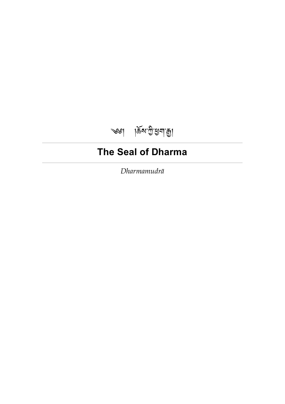

# <span id="page-0-0"></span>**The Seal of Dharma**

*Dharmamudrā*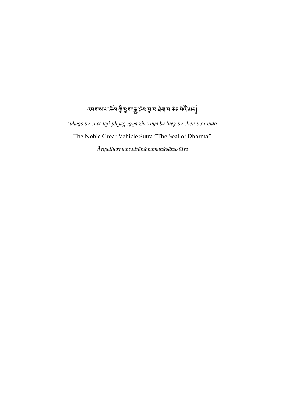# ব্ধনাৰ মাৰ্কু গ্ৰীপ্ৰনা ৰূপে এ নাৰ দুৰ্বসূত্ৰ সূপত্

*'phags pa chos kyi phyag rgya zhes bya ba theg pa chen po'i mdo* The Noble Great Vehicle Sūtra "The Seal of Dharma"

*Āryadharmamudrānāmamahāyānasūtra*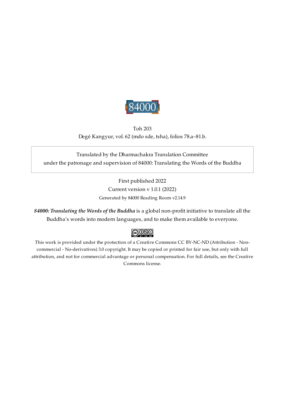

Toh 203 Degé Kangyur, vol. 62 (mdo sde, tsha), folios 78.a–81.b.

### <span id="page-2-0"></span>Translated by the Dharmachakra Translation Committee under the patronage and supervision of 84000: Translating the Words of the Buddha

First published 2022 Current version v 1.0.1 (2022) Generated by 84000 Reading Room v2.14.9

*84000: Translating the Words of the Buddha* is a global non-profit initiative to translate all the Buddha's words into modern languages, and to make them available to everyone.

### $\bigcirc$  000

This work is provided under the protection of a Creative Commons CC BY-NC-ND (Attribution - Noncommercial - No-derivatives) 3.0 copyright. It may be copied or printed for fair use, but only with full attribution, and not for commercial advantage or personal compensation. For full details, see the Creative Commons license.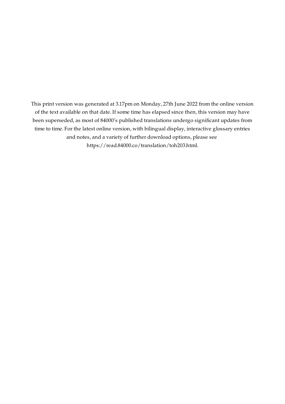This print version was generated at 3.17pm on Monday, 27th June 2022 from the online version of the text available on that date. If some time has elapsed since then, this version may have been superseded, as most of 84000's published translations undergo significant updates from time to time. For the latest online version, with bilingual display, interactive glossary entries and notes, and a variety of further download options, please see [https://read.84000.co/translation/toh203.html.](https://read.84000.co/translation/toh203.html)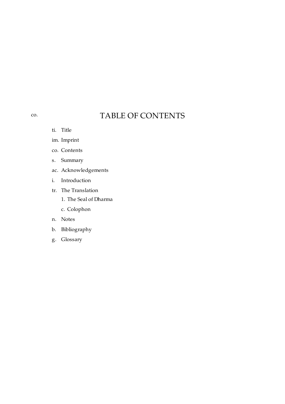## TABLE OF CONTENTS

ti. [Title](#page-0-0)

<span id="page-4-0"></span>[co.](#page-4-0)

- im. [Imprint](#page-2-0)
- co. [Contents](#page-4-0)
- s. [Summary](#page-5-0)
- ac. [Acknowledgements](#page-6-0)
- i. [Introduction](#page-7-0)
- tr. The [Translation](#page-9-0)
	- 1. The Seal of [Dharma](#page-10-0)
	- c. [Colophon](#page-15-0)
- n. [Notes](#page-16-0)
- b. [Bibliography](#page-17-0)
- g. [Glossary](#page-18-0)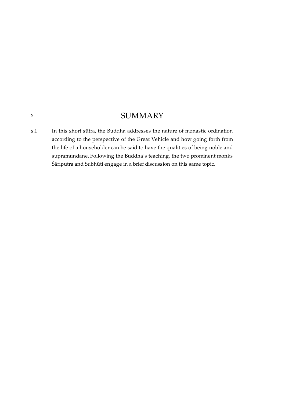### **SUMMARY**

<span id="page-5-1"></span>In this short sūtra, the Buddha addresses the nature of monastic ordination according to the perspective of the Great Vehicle and how going forth from the life of a householder can be said to have the qualities of being noble and supramundane. Following the Buddha's teaching, the two prominent monks Śāriputra and Subhūti engage in a brief discussion on this same topic. [s.1](#page-5-1)

<span id="page-5-0"></span>[s.](#page-5-0)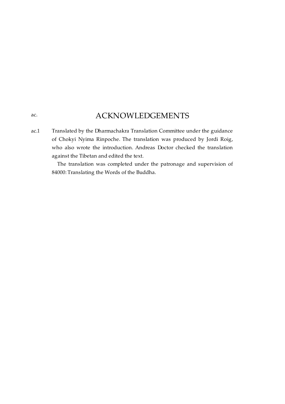### ACKNOWLEDGEMENTS

<span id="page-6-1"></span><span id="page-6-0"></span>Translated by the Dharmachakra Translation Committee under the guidance of Chokyi Nyima Rinpoche. The translation was produced by Jordi Roig, who also wrote the introduction. Andreas Doctor checked the translation against the Tibetan and edited the text. [ac.1](#page-6-1)

> The translation was completed under the patronage and supervision of 84000: Translating the Words of the Buddha.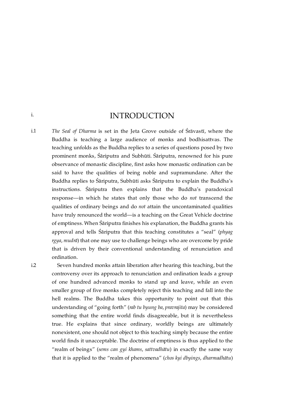INTRODUCTION

<span id="page-7-1"></span>*The Seal of Dharma* is set in the Jeta Grove outside of Śrāvastī, where the Buddha is teaching a large audience of monks and bodhisattvas. The teaching unfolds as the Buddha replies to a series of questions posed by two prominent monks, Śāriputra and Subhūti. Śāriputra, renowned for his pure observance of monastic discipline, first asks how monastic ordination can be said to have the qualities of being noble and supramundane. After the Buddha replies to Śāriputra, Subhūti asks Śāriputra to explain the Buddha's instructions. Śāriputra then explains that the Buddha's paradoxical response—in which he states that only those who do *not* transcend the qualities of ordinary beings and do *not* attain the uncontaminated qualities have truly renounced the world—is a teaching on the Great Vehicle doctrine of emptiness. When Śāriputra finishes his explanation, the Buddha grants his approval and tells Śāriputra that this teaching constitutes a "seal" (*phyag rgya*, *mudrā*) that one may use to challenge beings who are overcome by pride that is driven by their conventional understanding of renunciation and ordination. [i.1](#page-7-1)

> Seven hundred monks attain liberation after hearing this teaching, but the controversy over its approach to renunciation and ordination leads a group of one hundred advanced monks to stand up and leave, while an even smaller group of five monks completely reject this teaching and fall into the hell realms. The Buddha takes this opportunity to point out that this understanding of "going forth" (*rab tu byung ba*, *pravrajita*) may be considered something that the entire world finds disagreeable, but it is nevertheless true. He explains that since ordinary, worldly beings are ultimately nonexistent, one should not object to this teaching simply because the entire world finds it unacceptable. The doctrine of emptiness is thus applied to the "realm of beings" (*sems can gyi khams*, *sattvadhātu*) in exactly the same way that it is applied to the "realm of phenomena" (*chos kyi dbyings*, *dharmadhātu*)

<span id="page-7-2"></span>[i.2](#page-7-2)

<span id="page-7-0"></span>[i.](#page-7-0)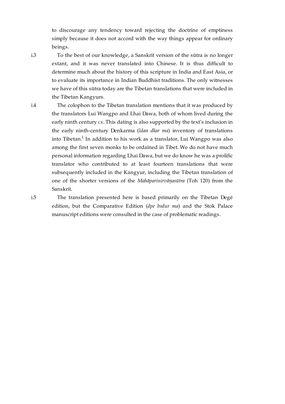to discourage any tendency toward rejecting the doctrine of emptiness simply because it does not accord with the way things appear for ordinary beings.

<span id="page-8-0"></span>[i.3](#page-8-0)

To the best of our knowledge, a Sanskrit version of the sūtra is no longer extant, and it was never translated into Chinese. It is thus difficult to determine much about the history of this scripture in India and East Asia, or to evaluate its importance in Indian Buddhist traditions. The only witnesses we have of this sūtra today are the Tibetan translations that were included in the Tibetan Kangyurs.

<span id="page-8-1"></span>[i.4](#page-8-1)

<span id="page-8-3"></span>The colophon to the Tibetan translation mentions that it was produced by the translators Lui Wangpo and Lhai Dawa, both of whom lived during the early ninth century CE. This dating is also supported by the text's inclusion in the early ninth-century Denkarma (*ldan dkar ma*) inventory of translations into Tibetan. $^1$  $^1$  In addition to his work as a translator, Lui Wangpo was also among the first seven monks to be ordained in Tibet. We do not have much personal information regarding Lhai Dawa, but we do know he was a prolific translator who contributed to at least fourteen translations that were subsequently included in the Kangyur, including the Tibetan translation of one of the shorter versions of the *Mahāparinirvāṇasūtra* (Toh 120) from the Sanskrit.

<span id="page-8-2"></span>[i.5](#page-8-2)

The translation presented here is based primarily on the Tibetan Degé edition, but the Comparative Edition (*dpe bsdur ma*) and the Stok Palace manuscript editions were consulted in the case of problematic readings.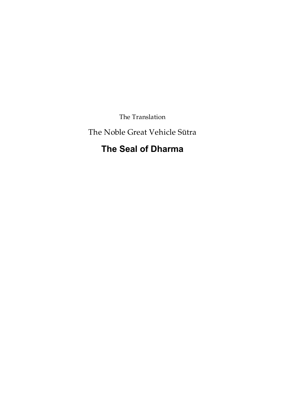The Translation

<span id="page-9-0"></span>The Noble Great Vehicle Sūtra

## **The Seal of Dharma**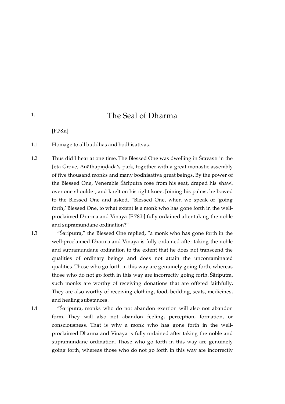### The Seal of Dharma

[\[F.78.a\]](https://translator:gzungs@read.84000-translate.org/source/toh203.html?ref-index=1#ajax-source)

<span id="page-10-1"></span>Homage to all buddhas and bodhisattvas. [1.1](#page-10-1)

- <span id="page-10-2"></span>Thus did I hear at one time. The Blessed One was dwelling in Śrāvastī in the Jeta Grove, Anāthapindada's park, together with a great monastic assembly of five thousand monks and many bodhisattva great beings. By the power of the Blessed One, Venerable Śāriputra rose from his seat, draped his shawl over one shoulder, and knelt on his right knee. Joining his palms, he bowed to the Blessed One and asked, "Blessed One, when we speak of 'going forth,' Blessed One, to what extent is a monk who has gone forth in the wellproclaimed Dharma and Vinaya [\[F.78.b\]](https://translator:gzungs@read.84000-translate.org/source/toh203.html?ref-index=2#ajax-source) fully ordained after taking the noble and supramundane ordination?" [1.2](#page-10-2)
- <span id="page-10-3"></span>"Śāriputra," the Blessed One replied, "a monk who has gone forth in the well-proclaimed Dharma and Vinaya is fully ordained after taking the noble and supramundane ordination to the extent that he does not transcend the qualities of ordinary beings and does not attain the uncontaminated qualities. Those who go forth in this way are genuinely going forth, whereas those who do not go forth in this way are incorrectly going forth. Śāriputra, such monks are worthy of receiving donations that are offered faithfully. They are also worthy of receiving clothing, food, bedding, seats, medicines, and healing substances. [1.3](#page-10-3)

<span id="page-10-4"></span>[1.4](#page-10-4)

"Śāriputra, monks who do not abandon exertion will also not abandon form. They will also not abandon feeling, perception, formation, or consciousness. That is why a monk who has gone forth in the wellproclaimed Dharma and Vinaya is fully ordained after taking the noble and supramundane ordination. Those who go forth in this way are genuinely going forth, whereas those who do not go forth in this way are incorrectly

<span id="page-10-0"></span>[1.](#page-10-0)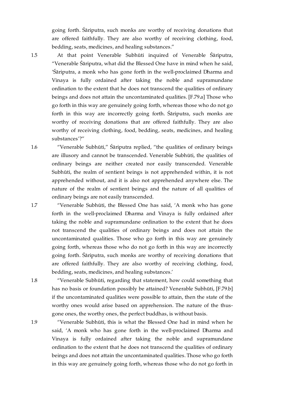going forth. Śāriputra, such monks are worthy of receiving donations that are offered faithfully. They are also worthy of receiving clothing, food, bedding, seats, medicines, and healing substances."

<span id="page-11-0"></span>[1.5](#page-11-0)

At that point Venerable Subhūti inquired of Venerable Śāriputra, "Venerable Śāriputra, what did the Blessed One have in mind when he said, 'Śāriputra, a monk who has gone forth in the well-proclaimed Dharma and Vinaya is fully ordained after taking the noble and supramundane ordination to the extent that he does not transcend the qualities of ordinary beings and does not attain the uncontaminated qualities. [\[F.79.a\]](https://translator:gzungs@read.84000-translate.org/source/toh203.html?ref-index=3#ajax-source) Those who go forth in this way are genuinely going forth, whereas those who do not go forth in this way are incorrectly going forth. Śāriputra, such monks are worthy of receiving donations that are offered faithfully. They are also worthy of receiving clothing, food, bedding, seats, medicines, and healing substances'?"

"Venerable Subhūti," Śāriputra replied, "the qualities of ordinary beings are illusory and cannot be transcended. Venerable Subhūti, the qualities of ordinary beings are neither created nor easily transcended. Venerable Subhūti, the realm of sentient beings is not apprehended within, it is not apprehended without, and it is also not apprehended anywhere else. The nature of the realm of sentient beings and the nature of all qualities of ordinary beings are not easily transcended.

"Venerable Subhūti, the Blessed One has said, 'A monk who has gone forth in the well-proclaimed Dharma and Vinaya is fully ordained after taking the noble and supramundane ordination to the extent that he does not transcend the qualities of ordinary beings and does not attain the uncontaminated qualities. Those who go forth in this way are genuinely going forth, whereas those who do not go forth in this way are incorrectly going forth. Śāriputra, such monks are worthy of receiving donations that are offered faithfully. They are also worthy of receiving clothing, food, bedding, seats, medicines, and healing substances.'

"Venerable Subhūti, regarding that statement, how could something that has no basis or foundation possibly be attained? Venerable Subhūti, [\[F.79.b\]](https://translator:gzungs@read.84000-translate.org/source/toh203.html?ref-index=4#ajax-source) if the uncontaminated qualities were possible to attain, then the state of the worthy ones would arise based on apprehension. The nature of the thusgone ones, the worthy ones, the perfect buddhas, is without basis.

"Venerable Subhūti, this is what the Blessed One had in mind when he said, 'A monk who has gone forth in the well-proclaimed Dharma and Vinaya is fully ordained after taking the noble and supramundane ordination to the extent that he does not transcend the qualities of ordinary beings and does not attain the uncontaminated qualities. Those who go forth in this way are genuinely going forth, whereas those who do not go forth in

<span id="page-11-2"></span>[1.7](#page-11-2)

<span id="page-11-1"></span>[1.6](#page-11-1)

<span id="page-11-3"></span>[1.8](#page-11-3)

<span id="page-11-4"></span>[1.9](#page-11-4)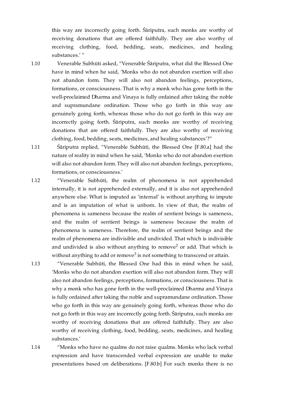this way are incorrectly going forth. Śāriputra, such monks are worthy of receiving donations that are offered faithfully. They are also worthy of receiving clothing, food, bedding, seats, medicines, and healing substances.' "

<span id="page-12-0"></span>Venerable Subhūti asked, "Venerable Śāriputra, what did the Blessed One have in mind when he said, 'Monks who do not abandon exertion will also not abandon form. They will also not abandon feelings, perceptions, formations, or consciousness. That is why a monk who has gone forth in the well-proclaimed Dharma and Vinaya is fully ordained after taking the noble and supramundane ordination. Those who go forth in this way are genuinely going forth, whereas those who do not go forth in this way are incorrectly going forth. Śāriputra, such monks are worthy of receiving donations that are offered faithfully. They are also worthy of receiving clothing, food, bedding, seats, medicines, and healing substances'?" [1.10](#page-12-0)

<span id="page-12-1"></span>Śāriputra replied, "Venerable Subhūti, the Blessed One [\[F.80.a\]](https://translator:gzungs@read.84000-translate.org/source/toh203.html?ref-index=5#ajax-source) had the nature of reality in mind when he said, 'Monks who do not abandon exertion will also not abandon form. They will also not abandon feelings, perceptions, formations, or consciousness.' [1.11](#page-12-1)

<span id="page-12-2"></span>"Venerable Subhūti, the realm of phenomena is not apprehended internally, it is not apprehended externally, and it is also not apprehended anywhere else. What is imputed as 'internal' is without anything to impute and is an imputation of what is unborn. In view of that, the realm of phenomena is sameness because the realm of sentient beings is sameness, and the realm of sentient beings is sameness because the realm of phenomena is sameness. Therefore, the realm of sentient beings and the realm of phenomena are indivisible and undivided. That which is indivisible and undivided is also without anything to remove<sup>[2](#page-16-2)</sup> or add. That which is without anything to add or remove<sup>[3](#page-16-3)</sup> is not something to transcend or attain. [1.12](#page-12-2)

<span id="page-12-6"></span><span id="page-12-5"></span>"Venerable Subhūti, the Blessed One had this in mind when he said, 'Monks who do not abandon exertion will also not abandon form. They will also not abandon feelings, perceptions, formations, or consciousness. That is why a monk who has gone forth in the well-proclaimed Dharma and Vinaya is fully ordained after taking the noble and supramundane ordination. Those who go forth in this way are genuinely going forth, whereas those who do not go forth in this way are incorrectly going forth. Śāriputra, such monks are worthy of receiving donations that are offered faithfully. They are also worthy of receiving clothing, food, bedding, seats, medicines, and healing substances.'

<span id="page-12-4"></span>[1.14](#page-12-4)

<span id="page-12-3"></span>[1.13](#page-12-3)

"Monks who have no qualms do not raise qualms. Monks who lack verbal expression and have transcended verbal expression are unable to make presentations based on deliberations. [\[F.80.b\]](https://translator:gzungs@read.84000-translate.org/source/toh203.html?ref-index=6#ajax-source) For such monks there is no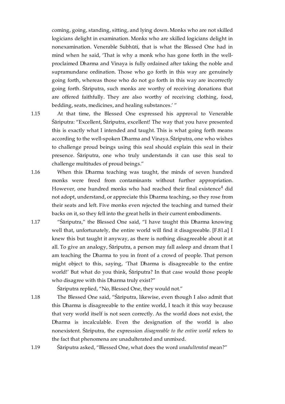coming, going, standing, sitting, and lying down. Monks who are not skilled logicians delight in examination. Monks who are skilled logicians delight in nonexamination. Venerable Subhūti, that is what the Blessed One had in mind when he said, 'That is why a monk who has gone forth in the wellproclaimed Dharma and Vinaya is fully ordained after taking the noble and supramundane ordination. Those who go forth in this way are genuinely going forth, whereas those who do not go forth in this way are incorrectly going forth. Śāriputra, such monks are worthy of receiving donations that are offered faithfully. They are also worthy of receiving clothing, food, bedding, seats, medicines, and healing substances.' "

<span id="page-13-0"></span>At that time, the Blessed One expressed his approval to Venerable Śāriputra: "Excellent, Śāriputra, excellent! The way that you have presented this is exactly what I intended and taught. This is what going forth means according to the well-spoken Dharma and Vinaya. Śāriputra, one who wishes to challenge proud beings using this seal should explain this seal in their presence. Śāriputra, one who truly understands it can use this seal to challenge multitudes of proud beings." [1.15](#page-13-0)

<span id="page-13-5"></span><span id="page-13-1"></span>When this Dharma teaching was taught, the minds of seven hundred monks were freed from contaminants without further appropriation. However, one hundred monks who had reached their final existence $\frac{4}{3}$  $\frac{4}{3}$  $\frac{4}{3}$  did not adopt, understand, or appreciate this Dharma teaching, so they rose from their seats and left. Five monks even rejected the teaching and turned their backs on it, so they fell into the great hells in their current embodiments. [1.16](#page-13-1)

<span id="page-13-2"></span>"Śāriputra," the Blessed One said, "I have taught this Dharma knowing well that, unfortunately, the entire world will find it disagreeable. [\[F.81.a\]](https://translator:gzungs@read.84000-translate.org/source/toh203.html?ref-index=7#ajax-source) I knew this but taught it anyway, as there is nothing disagreeable about it at all. To give an analogy, Śāriputra, a person may fall asleep and dream that I am teaching the Dharma to you in front of a crowd of people. That person might object to this, saying, 'That Dharma is disagreeable to the entire world!' But what do you think, Śāriputra? In that case would those people who disagree with this Dharma truly exist?" [1.17](#page-13-2)

Śāriputra replied, "No, Blessed One, they would not."

<span id="page-13-3"></span>The Blessed One said, "Śāriputra, likewise, even though I also admit that this Dharma is disagreeable to the entire world, I teach it this way because that very world itself is not seen correctly. As the world does not exist, the Dharma is incalculable. Even the designation of the world is also nonexistent. Śāriputra, the expression *disagreeable to the entire world* refers to the fact that phenomena are unadulterated and unmixed. [1.18](#page-13-3)

<span id="page-13-4"></span>Śāriputra asked, "Blessed One, what does the word *unadulterated* mean?" [1.19](#page-13-4)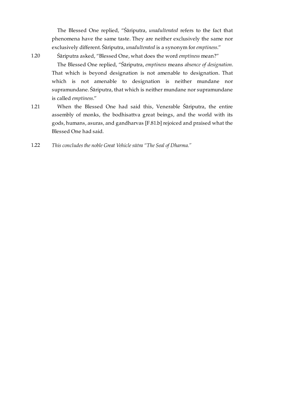The Blessed One replied, "Śāriputra, *unadulterated* refers to the fact that phenomena have the same taste. They are neither exclusively the same nor exclusively different. Śāriputra, *unadulterated* is a synonym for *emptiness*."

<span id="page-14-0"></span>[1.20](#page-14-0)

Śāriputra asked, "Blessed One, what does the word *emptiness* mean?"

The Blessed One replied, "Śāriputra, *emptiness* means *absence of designation*. That which is beyond designation is not amenable to designation. That which is not amenable to designation is neither mundane nor supramundane. Śāriputra, that which is neither mundane nor supramundane is called *emptiness*."

- <span id="page-14-1"></span>When the Blessed One had said this, Venerable Śāriputra, the entire assembly of monks, the bodhisattva great beings, and the world with its gods, humans, asuras, and gandharvas [\[F.81.b\]](https://translator:gzungs@read.84000-translate.org/source/toh203.html?ref-index=8#ajax-source) rejoiced and praised what the Blessed One had said. [1.21](#page-14-1)
- <span id="page-14-2"></span>*This concludes the noble Great Vehicle sūtra "The Seal of Dharma."* [1.22](#page-14-2)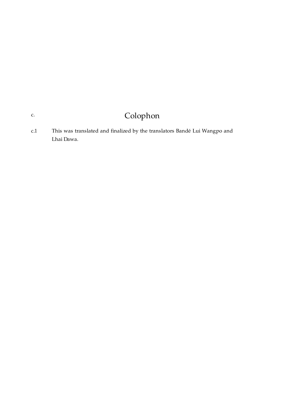## Colophon

<span id="page-15-1"></span>This was translated and finalized by the translators Bandé Lui Wangpo and Lhai Dawa. [c.1](#page-15-1)

<span id="page-15-0"></span>[c.](#page-15-0)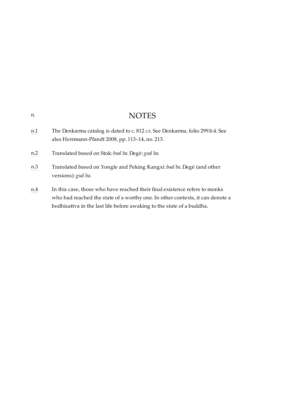### NOTES

- <span id="page-16-1"></span><span id="page-16-0"></span>[n.1](#page-8-3) The Denkarma catalog is dated to c. 812 CE. See Denkarma, folio 299.b.4. See also Herrmann-Pfandt 2008, pp. 113–14, no. 213.
- <span id="page-16-2"></span>[n.2](#page-12-5) Translated based on Stok: *bsal ba*. Degé: *gsal ba*.
- <span id="page-16-3"></span>[n.3](#page-12-6) Translated based on Yongle and Peking Kangxi: *bsal ba*. Degé (and other versions): *gsal ba*.
- <span id="page-16-4"></span>[n.4](#page-13-5) In this case, those who have reached their final existence refers to monks who had reached the state of a worthy one. In other contexts, it can denote a bodhisattva in the last life before awaking to the state of a buddha.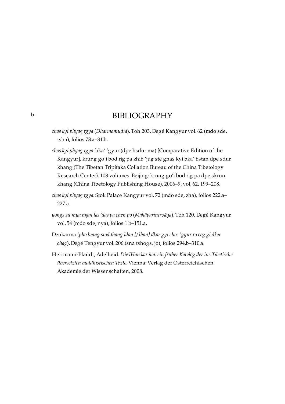### BIBLIOGRAPHY

- <span id="page-17-0"></span>*chos kyi phyag rgya* (*Dharmamudrā*). Toh 203, Degé Kangyur vol. 62 (mdo sde, tsha), folios 78.a–81.b.
- *chos kyi phyag rgya*. bka' 'gyur (dpe bsdur ma) [Comparative Edition of the Kangyur], krung go'i bod rig pa zhib 'jug ste gnas kyi bka' bstan dpe sdur khang (The Tibetan Tripitaka Collation Bureau of the China Tibetology Research Center). 108 volumes. Beijing: krung go'i bod rig pa dpe skrun khang (China Tibetology Publishing House), 2006–9, vol. 62, 199–208.
- *chos kyi phyag rgya*. Stok Palace Kangyur vol. 72 (mdo sde, zha), folios 222.a– 227.a.
- *yongs su mya ngan las 'das pa chen po* (*Mahāparinirvāṇa*). Toh 120, Degé Kangyur vol. 54 (mdo sde, nya), folios 1.b–151.a.
- Denkarma (*pho brang stod thang ldan [/ lhan] dkar gyi chos 'gyur ro cog gi dkar chag*). Degé Tengyur vol. 206 (sna tshogs, jo), folios 294.b–310.a.
- Herrmann-Pfandt, Adelheid. *Die lHan kar ma: ein früher Katalog der ins Tibetische übersetzten buddhistischen Texte*. Vienna: Verlag der Österreichischen Akademie der Wissenschaften, 2008.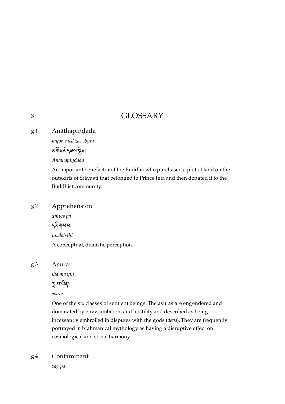### GLOSSARY

<span id="page-18-1"></span>Anāthapiṇḍada [g.1](#page-18-1)

*mgon med zas sbyin*

<u>*য়য়ঀৼড়৻ড়৸ৼড়ৢঢ়৸ড়৸ড়৸ড়৸ড়৸ড়৸ড়৸ড়৸ড়৸*ড়৸</u>

*Anāthapiṇḍada*

An important benefactor of the Buddha who purchased a plot of land on the outskirts of Śrāvastī that belonged to Prince Jeta and then donated it to the Buddhist community.

#### <span id="page-18-2"></span>Apprehension [g.2](#page-18-2)

*dmigs pa* དགས་པ། *upalabdhi* A conceptual, dualistic perception.

#### <span id="page-18-3"></span>Asura [g.3](#page-18-3)

*lha ma yin*

শ্বুস্ম'শ্ৰিৰ্]

*asura*

One of the six classes of sentient beings. The asuras are engendered and dominated by envy, ambition, and hostility and described as being incessantly embroiled in disputes with the gods (*deva*). They are frequently portrayed in brahmanical mythology as having a disruptive effect on cosmological and social harmony.

#### <span id="page-18-4"></span>Contaminant [g.4](#page-18-4)

*zag pa*

<span id="page-18-0"></span>[g.](#page-18-0)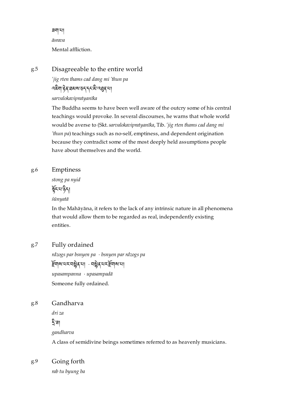ཟག་པ། *āsrava* Mental affliction.

#### <span id="page-19-0"></span>Disagreeable to the entire world [g.5](#page-19-0)

*'jig rten thams cad dang mi 'thun pa* <u>दद्देवा हेब् बसरा उन् नृत्यसे दबुबाया</u> *sarvalokavipratyanīka*

The Buddha seems to have been well aware of the outcry some of his central teachings would provoke. In several discourses, he warns that whole world would be averse to (Skt.*sarvalokavipratyanīka*, Tib. *'jig rten thams cad dang mi 'thun pa*) teachings such as no-self, emptiness, and dependent origination because they contradict some of the most deeply held assumptions people have about themselves and the world.

#### <span id="page-19-1"></span>Emptiness [g.6](#page-19-1)

*stong pa nyid*

ফুঁহায়ান্ত্রী

*śūnyatā*

In the Mahāyāna, it refers to the lack of any intrinsic nature in all phenomena that would allow them to be regarded as real, independently existing entities.

#### <span id="page-19-2"></span>Fully ordained [g.7](#page-19-2)

*rdzogs par bsnyen pa* · *bsnyen par rdzogs pa* གས་པར་བན་པ། · བན་པར་གས་པ། *upasampanna* · *upasampadā* Someone fully ordained.

#### <span id="page-19-3"></span>Gandharva [g.8](#page-19-3)

*dri za*

ঠূ`ৰা

*gandharva*

A class of semidivine beings sometimes referred to as heavenly musicians.

#### <span id="page-19-4"></span>Going forth [g.9](#page-19-4)

*rab tu byung ba*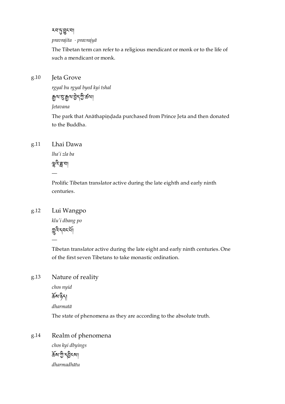རབ་་ང་བ།

*pravrajita* · *pravrajyā*

The Tibetan term can refer to a religious mendicant or monk or to the life of such a mendicant or monk.

#### <span id="page-20-0"></span>Jeta Grove [g.10](#page-20-0)

*rgyal bu rgyal byed kyi tshal*

ལ་་ལ་ད་་ཚལ།

*Jetavana*

The park that Anāthapiṇḍada purchased from Prince Jeta and then donated to the Buddha.

#### <span id="page-20-1"></span>Lhai Dawa [g.11](#page-20-1)

*lha'i zla ba*

খুবি'ক্ল'ন।

—

Prolific Tibetan translator active during the late eighth and early ninth centuries.

#### <span id="page-20-2"></span>Lui Wangpo [g.12](#page-20-2)

—

*klu'i dbang po* মুন্নিন্দর্যো

Tibetan translator active during the late eight and early ninth centuries. One of the first seven Tibetans to take monastic ordination.

#### <span id="page-20-3"></span>Nature of reality [g.13](#page-20-3)

*chos nyid*

 $\widetilde{\mathfrak{F}}$ ས་gིད།

*dharmatā*

The state of phenomena as they are according to the absolute truth.

#### <span id="page-20-4"></span>Realm of phenomena [g.14](#page-20-4)

*chos kyi dbyings* ৰ্ক্তমাণ্ট্ৰ মুক্ত কৰা *dharmadhātu*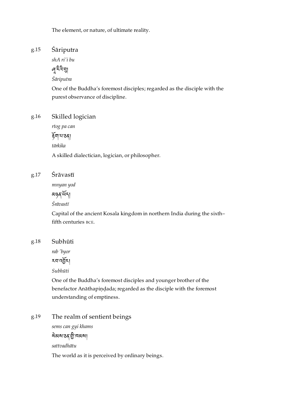The element, or nature, of ultimate reality.

#### <span id="page-21-0"></span>Śāriputra [g.15](#page-21-0)

*shA ri'i bu*

৸ৢৼ৻ৼ

*Śāriputra*

One of the Buddha's foremost disciples; regarded as the disciple with the purest observance of discipline.

#### <span id="page-21-1"></span>Skilled logician [g.16](#page-21-1)

*rtog pa can*

ৰ্দ্নগৰ্মা

*tārkika*

A skilled dialectician, logician, or philosopher.

#### <span id="page-21-2"></span>Śrāvastī [g.17](#page-21-2)

*mnyan yod*

མཉན་ད།

*Śrāvastī*

Capital of the ancient Kosala kingdom in northern India during the sixth– fifth centuries BCE.

#### <span id="page-21-3"></span>Subhūti [g.18](#page-21-3)

*rab 'byor*

རབ་འར།

*Subhūti*

One of the Buddha's foremost disciples and younger brother of the benefactor Anāthapiṇḍada; regarded as the disciple with the foremost understanding of emptiness.

<span id="page-21-4"></span>The realm of sentient beings [g.19](#page-21-4)

> *sems can gyi khams* <u> <sup>ই</sup>মেৰাজ্য বিভি</u> *sattvadhātu* The world as it is perceived by ordinary beings.